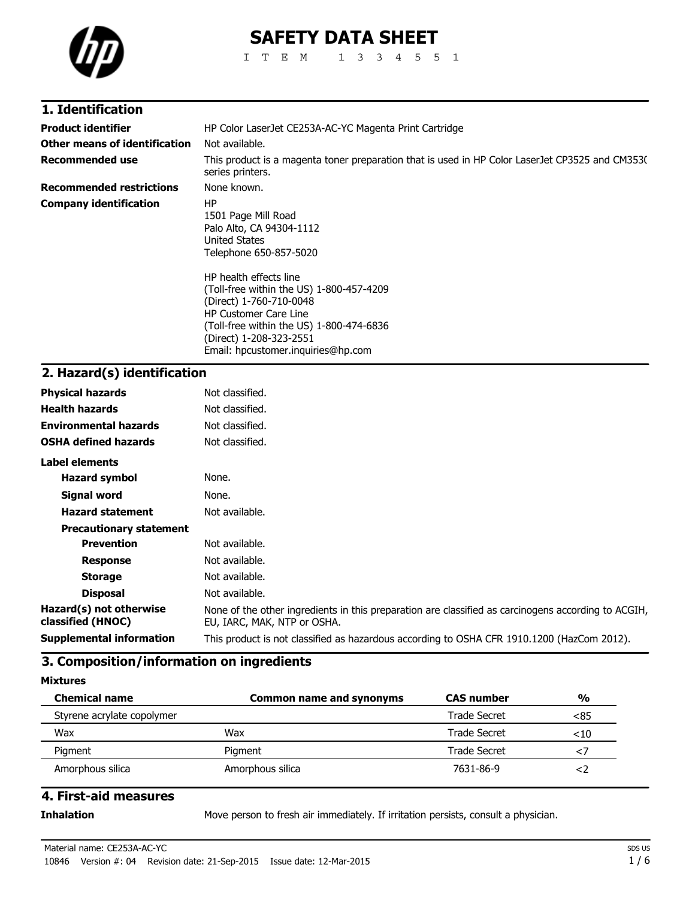

# **SAFETY DATA SHEET**

ITEM 1334551

## **1. Identification**

| <b>Product identifier</b>       | HP Color LaserJet CE253A-AC-YC Magenta Print Cartridge                                                                                                                                                                                                                                                                                         |  |
|---------------------------------|------------------------------------------------------------------------------------------------------------------------------------------------------------------------------------------------------------------------------------------------------------------------------------------------------------------------------------------------|--|
| Other means of identification   | Not available.                                                                                                                                                                                                                                                                                                                                 |  |
| <b>Recommended use</b>          | This product is a magenta toner preparation that is used in HP Color LaserJet CP3525 and CM3530<br>series printers.                                                                                                                                                                                                                            |  |
| <b>Recommended restrictions</b> | None known.                                                                                                                                                                                                                                                                                                                                    |  |
| <b>Company identification</b>   | ΗP<br>1501 Page Mill Road<br>Palo Alto, CA 94304-1112<br>United States<br>Telephone 650-857-5020<br>HP health effects line<br>(Toll-free within the US) 1-800-457-4209<br>(Direct) 1-760-710-0048<br><b>HP Customer Care Line</b><br>(Toll-free within the US) 1-800-474-6836<br>(Direct) 1-208-323-2551<br>Email: hpcustomer.inguiries@hp.com |  |

## **2. Hazard(s) identification**

| <b>Physical hazards</b>                      | Not classified.                                                                                                                    |
|----------------------------------------------|------------------------------------------------------------------------------------------------------------------------------------|
| <b>Health hazards</b>                        | Not classified.                                                                                                                    |
| <b>Environmental hazards</b>                 | Not classified.                                                                                                                    |
| <b>OSHA defined hazards</b>                  | Not classified.                                                                                                                    |
| Label elements                               |                                                                                                                                    |
| <b>Hazard symbol</b>                         | None.                                                                                                                              |
| Signal word                                  | None.                                                                                                                              |
| <b>Hazard statement</b>                      | Not available.                                                                                                                     |
| <b>Precautionary statement</b>               |                                                                                                                                    |
| <b>Prevention</b>                            | Not available.                                                                                                                     |
| <b>Response</b>                              | Not available.                                                                                                                     |
| <b>Storage</b>                               | Not available.                                                                                                                     |
| <b>Disposal</b>                              | Not available.                                                                                                                     |
| Hazard(s) not otherwise<br>classified (HNOC) | None of the other ingredients in this preparation are classified as carcinogens according to ACGIH,<br>EU, IARC, MAK, NTP or OSHA. |
| <b>Supplemental information</b>              | This product is not classified as hazardous according to OSHA CFR 1910.1200 (HazCom 2012).                                         |

## **3. Composition/information on ingredients**

**Mixtures**

| <b>Chemical name</b>       | <b>Common name and synonyms</b> | <b>CAS number</b> | $\frac{0}{0}$ |
|----------------------------|---------------------------------|-------------------|---------------|
| Styrene acrylate copolymer |                                 | Trade Secret      | <85           |
| Wax                        | Wax                             | Trade Secret      | $<$ 10        |
| Pigment                    | Pigment                         | Trade Secret      |               |
| Amorphous silica           | Amorphous silica                | 7631-86-9         |               |

## **4. First-aid measures**

**Inhalation** Move person to fresh air immediately. If irritation persists, consult a physician.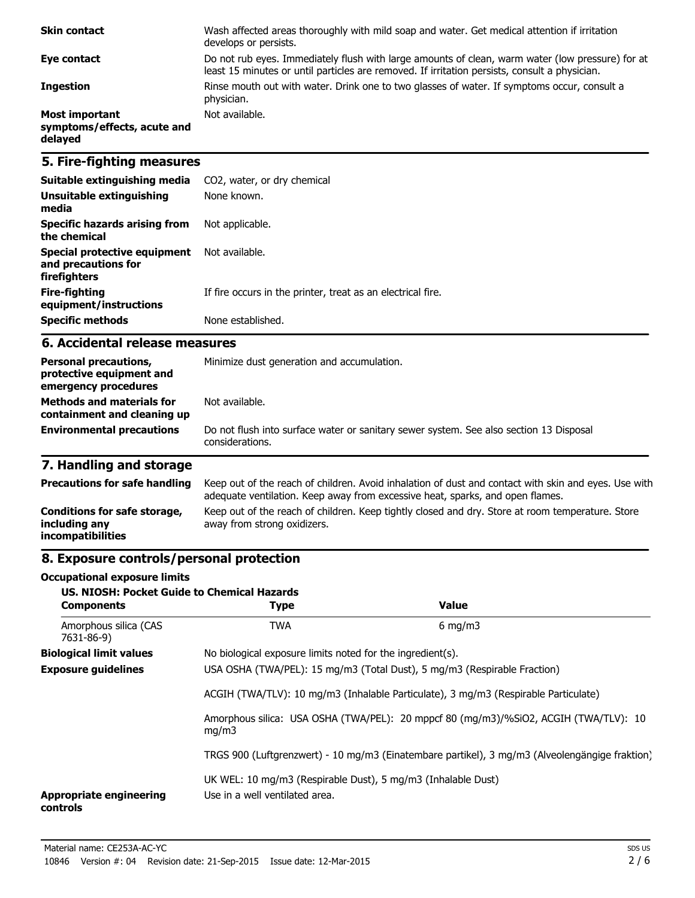| <b>Skin contact</b>                                             | Wash affected areas thoroughly with mild soap and water. Get medical attention if irritation<br>develops or persists.                                                                             |
|-----------------------------------------------------------------|---------------------------------------------------------------------------------------------------------------------------------------------------------------------------------------------------|
| Eye contact                                                     | Do not rub eyes. Immediately flush with large amounts of clean, warm water (low pressure) for at<br>least 15 minutes or until particles are removed. If irritation persists, consult a physician. |
| <b>Ingestion</b>                                                | Rinse mouth out with water. Drink one to two glasses of water. If symptoms occur, consult a<br>physician.                                                                                         |
| <b>Most important</b><br>symptoms/effects, acute and<br>delayed | Not available.                                                                                                                                                                                    |

## **5. Fire-fighting measures**

| Suitable extinguishing media                                        | CO2, water, or dry chemical                                 |
|---------------------------------------------------------------------|-------------------------------------------------------------|
| Unsuitable extinguishing<br>media                                   | None known.                                                 |
| Specific hazards arising from<br>the chemical                       | Not applicable.                                             |
| Special protective equipment<br>and precautions for<br>firefighters | Not available.                                              |
| Fire-fighting<br>equipment/instructions                             | If fire occurs in the printer, treat as an electrical fire. |
| <b>Specific methods</b>                                             | None established.                                           |

#### **6. Accidental release measures**

| <b>Personal precautions,</b><br>protective equipment and<br>emergency procedures | Minimize dust generation and accumulation.                                                                |  |
|----------------------------------------------------------------------------------|-----------------------------------------------------------------------------------------------------------|--|
| <b>Methods and materials for</b><br>containment and cleaning up                  | Not available.                                                                                            |  |
| <b>Environmental precautions</b>                                                 | Do not flush into surface water or sanitary sewer system. See also section 13 Disposal<br>considerations. |  |

# **7. Handling and storage**

| <b>Precautions for safe handling</b>                                      | Keep out of the reach of children. Avoid inhalation of dust and contact with skin and eyes. Use with<br>adequate ventilation. Keep away from excessive heat, sparks, and open flames. |
|---------------------------------------------------------------------------|---------------------------------------------------------------------------------------------------------------------------------------------------------------------------------------|
| Conditions for safe storage,<br>including any<br><i>incompatibilities</i> | Keep out of the reach of children. Keep tightly closed and dry. Store at room temperature. Store<br>away from strong oxidizers.                                                       |

## **8. Exposure controls/personal protection**

#### **Occupational exposure limits**

| <b>US. NIOSH: Pocket Guide to Chemical Hazards</b><br><b>Components</b>             | <b>Type</b>                                                                                    | Value                                                                                          |
|-------------------------------------------------------------------------------------|------------------------------------------------------------------------------------------------|------------------------------------------------------------------------------------------------|
| Amorphous silica (CAS<br>7631-86-9)                                                 | <b>TWA</b>                                                                                     | $6 \text{ mg/m}$                                                                               |
| <b>Biological limit values</b>                                                      | No biological exposure limits noted for the ingredient(s).                                     |                                                                                                |
| <b>Exposure guidelines</b>                                                          | USA OSHA (TWA/PEL): 15 mg/m3 (Total Dust), 5 mg/m3 (Respirable Fraction)                       |                                                                                                |
| ACGIH (TWA/TLV): 10 mg/m3 (Inhalable Particulate), 3 mg/m3 (Respirable Particulate) |                                                                                                |                                                                                                |
| mq/m3                                                                               |                                                                                                | Amorphous silica: USA OSHA (TWA/PEL): 20 mppcf 80 (mg/m3)/%SiO2, ACGIH (TWA/TLV): 10           |
|                                                                                     |                                                                                                | TRGS 900 (Luftgrenzwert) - 10 mg/m3 (Einatembare partikel), 3 mg/m3 (Alveolengängige fraktion) |
| <b>Appropriate engineering</b><br>controls                                          | UK WEL: 10 mg/m3 (Respirable Dust), 5 mg/m3 (Inhalable Dust)<br>Use in a well ventilated area. |                                                                                                |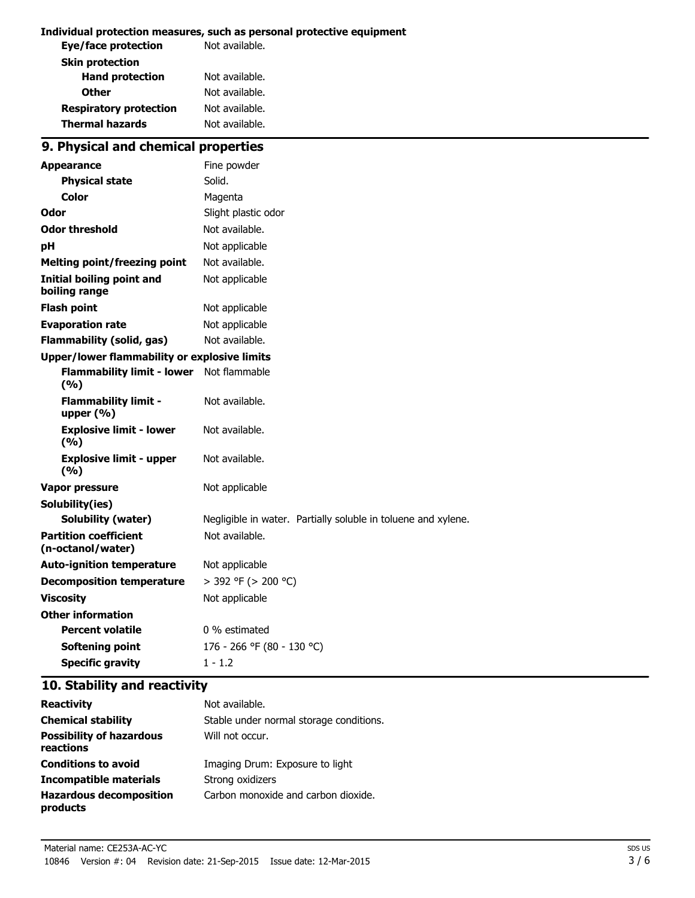#### **Individual protection measures, such as personal protective equipment**

| Not available. |
|----------------|
|                |
| Not available. |
| Not available. |
| Not available. |
| Not available. |
|                |

## **9. Physical and chemical properties**

| <b>Appearance</b>                                   | Fine powder                                                   |
|-----------------------------------------------------|---------------------------------------------------------------|
| <b>Physical state</b>                               | Solid.                                                        |
| Color                                               | Magenta                                                       |
| Odor                                                | Slight plastic odor                                           |
| <b>Odor threshold</b>                               | Not available.                                                |
| рH                                                  | Not applicable                                                |
| <b>Melting point/freezing point</b>                 | Not available.                                                |
| <b>Initial boiling point and</b><br>boiling range   | Not applicable                                                |
| <b>Flash point</b>                                  | Not applicable                                                |
| <b>Evaporation rate</b>                             | Not applicable                                                |
| <b>Flammability (solid, gas)</b>                    | Not available.                                                |
| <b>Upper/lower flammability or explosive limits</b> |                                                               |
| <b>Flammability limit - lower</b><br>(9/6)          | Not flammable                                                 |
| <b>Flammability limit -</b><br>upper $(\% )$        | Not available.                                                |
| <b>Explosive limit - lower</b><br>(9/6)             | Not available.                                                |
| <b>Explosive limit - upper</b><br>(9/6)             | Not available.                                                |
| <b>Vapor pressure</b>                               | Not applicable                                                |
| Solubility(ies)                                     |                                                               |
| <b>Solubility (water)</b>                           | Negligible in water. Partially soluble in toluene and xylene. |
| <b>Partition coefficient</b><br>(n-octanol/water)   | Not available.                                                |
| <b>Auto-ignition temperature</b>                    | Not applicable                                                |
| <b>Decomposition temperature</b>                    | > 392 °F (> 200 °C)                                           |
| <b>Viscosity</b>                                    | Not applicable                                                |
| <b>Other information</b>                            |                                                               |
| <b>Percent volatile</b>                             | 0 % estimated                                                 |
| <b>Softening point</b>                              | 176 - 266 °F (80 - 130 °C)                                    |
| <b>Specific gravity</b>                             | $1 - 1.2$                                                     |

## **10. Stability and reactivity**

| <b>Reactivity</b>                            | Not available.                          |
|----------------------------------------------|-----------------------------------------|
| <b>Chemical stability</b>                    | Stable under normal storage conditions. |
| <b>Possibility of hazardous</b><br>reactions | Will not occur.                         |
| <b>Conditions to avoid</b>                   | Imaging Drum: Exposure to light         |
| Incompatible materials                       | Strong oxidizers                        |
| <b>Hazardous decomposition</b><br>products   | Carbon monoxide and carbon dioxide.     |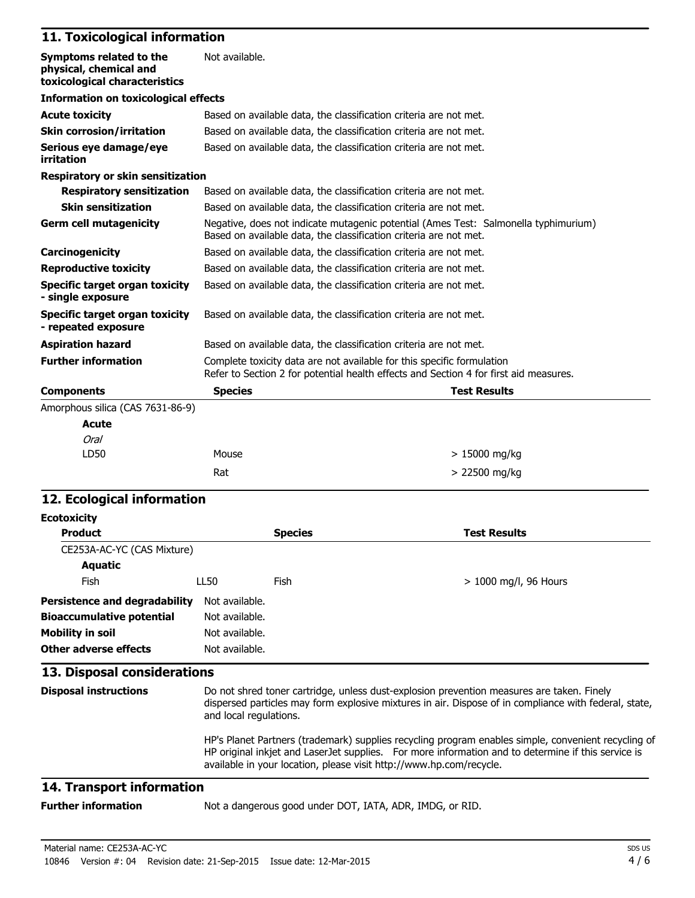#### **11. Toxicological information**

| Symptoms related to the<br>physical, chemical and<br>toxicological characteristics | Not available.                                                                                                                                                  |                     |
|------------------------------------------------------------------------------------|-----------------------------------------------------------------------------------------------------------------------------------------------------------------|---------------------|
| <b>Information on toxicological effects</b>                                        |                                                                                                                                                                 |                     |
| <b>Acute toxicity</b>                                                              | Based on available data, the classification criteria are not met.                                                                                               |                     |
| <b>Skin corrosion/irritation</b>                                                   | Based on available data, the classification criteria are not met.                                                                                               |                     |
| Serious eye damage/eye<br>irritation                                               | Based on available data, the classification criteria are not met.                                                                                               |                     |
| <b>Respiratory or skin sensitization</b>                                           |                                                                                                                                                                 |                     |
| <b>Respiratory sensitization</b>                                                   | Based on available data, the classification criteria are not met.                                                                                               |                     |
| <b>Skin sensitization</b>                                                          | Based on available data, the classification criteria are not met.                                                                                               |                     |
| <b>Germ cell mutagenicity</b>                                                      | Negative, does not indicate mutagenic potential (Ames Test: Salmonella typhimurium)<br>Based on available data, the classification criteria are not met.        |                     |
| Carcinogenicity                                                                    | Based on available data, the classification criteria are not met.                                                                                               |                     |
| <b>Reproductive toxicity</b>                                                       | Based on available data, the classification criteria are not met.                                                                                               |                     |
| Specific target organ toxicity<br>- single exposure                                | Based on available data, the classification criteria are not met.                                                                                               |                     |
| <b>Specific target organ toxicity</b><br>- repeated exposure                       | Based on available data, the classification criteria are not met.                                                                                               |                     |
| <b>Aspiration hazard</b>                                                           | Based on available data, the classification criteria are not met.                                                                                               |                     |
| <b>Further information</b>                                                         | Complete toxicity data are not available for this specific formulation<br>Refer to Section 2 for potential health effects and Section 4 for first aid measures. |                     |
| <b>Components</b>                                                                  | <b>Species</b>                                                                                                                                                  | <b>Test Results</b> |
| Amorphous silica (CAS 7631-86-9)                                                   |                                                                                                                                                                 |                     |
| Acute                                                                              |                                                                                                                                                                 |                     |
| <b>Oral</b>                                                                        |                                                                                                                                                                 |                     |
| LD50                                                                               | Mouse                                                                                                                                                           | $>15000$ mg/kg      |
|                                                                                    | Rat                                                                                                                                                             | > 22500 mg/kg       |

### **12. Ecological information**

| <b>Ecotoxicity</b>                   |                                                                                                                                                                                                                              |                |                         |
|--------------------------------------|------------------------------------------------------------------------------------------------------------------------------------------------------------------------------------------------------------------------------|----------------|-------------------------|
| <b>Product</b>                       |                                                                                                                                                                                                                              | <b>Species</b> | <b>Test Results</b>     |
| CE253A-AC-YC (CAS Mixture)           |                                                                                                                                                                                                                              |                |                         |
| <b>Aquatic</b>                       |                                                                                                                                                                                                                              |                |                         |
| Fish                                 | LL50                                                                                                                                                                                                                         | Fish           | $> 1000$ mg/l, 96 Hours |
| <b>Persistence and degradability</b> | Not available.                                                                                                                                                                                                               |                |                         |
| <b>Bioaccumulative potential</b>     | Not available.                                                                                                                                                                                                               |                |                         |
| Mobility in soil                     | Not available.                                                                                                                                                                                                               |                |                         |
| Other adverse effects                | Not available.                                                                                                                                                                                                               |                |                         |
| 13. Disposal considerations          |                                                                                                                                                                                                                              |                |                         |
| <b>Disposal instructions</b>         | Do not shred toner cartridge, unless dust-explosion prevention measures are taken. Finely<br>dispersed particles may form explosive mixtures in air. Dispose of in compliance with federal, state,<br>and local regulations. |                |                         |

HP's Planet Partners (trademark) supplies recycling program enables simple, convenient recycling of HP original inkjet and LaserJet supplies. For more information and to determine if this service is available in your location, please visit http://www.hp.com/recycle.

#### **14. Transport information**

**Further information** Not a dangerous good under DOT, IATA, ADR, IMDG, or RID.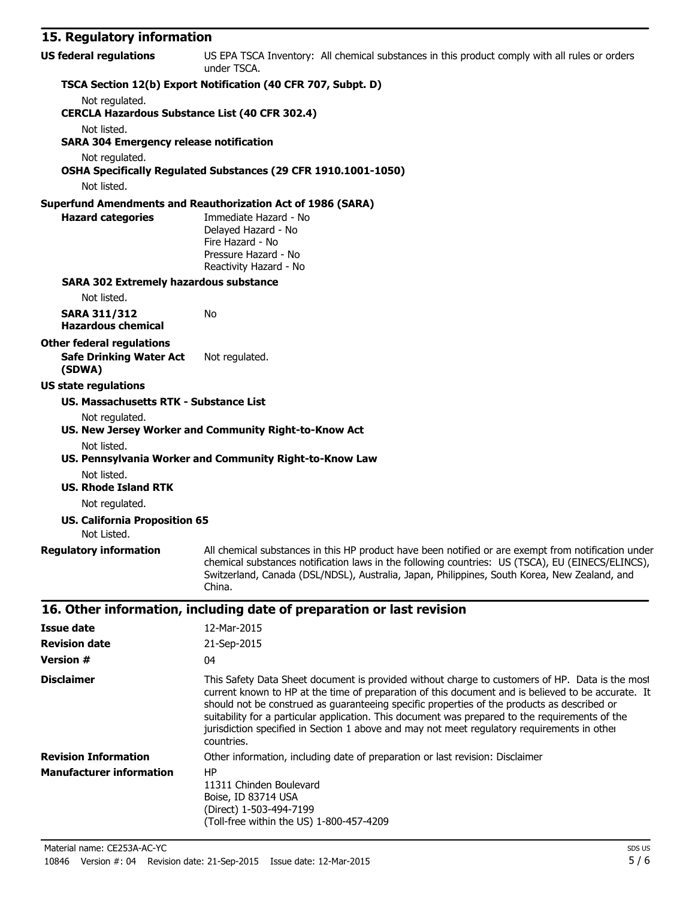## **15. Regulatory information**

| <b>Version #</b>                | 04                                                                                                                                                                                                                                                                                                                                                                                                                                                                                                                   |
|---------------------------------|----------------------------------------------------------------------------------------------------------------------------------------------------------------------------------------------------------------------------------------------------------------------------------------------------------------------------------------------------------------------------------------------------------------------------------------------------------------------------------------------------------------------|
| <b>Disclaimer</b>               | This Safety Data Sheet document is provided without charge to customers of HP. Data is the most<br>current known to HP at the time of preparation of this document and is believed to be accurate. It<br>should not be construed as quaranteeing specific properties of the products as described or<br>suitability for a particular application. This document was prepared to the requirements of the<br>jurisdiction specified in Section 1 above and may not meet regulatory requirements in other<br>countries. |
| <b>Revision Information</b>     | Other information, including date of preparation or last revision: Disclaimer                                                                                                                                                                                                                                                                                                                                                                                                                                        |
| <b>Manufacturer information</b> | HP.<br>11311 Chinden Boulevard<br>Boise, ID 83714 USA<br>(Direct) 1-503-494-7199<br>(Toll-free within the US) 1-800-457-4209                                                                                                                                                                                                                                                                                                                                                                                         |